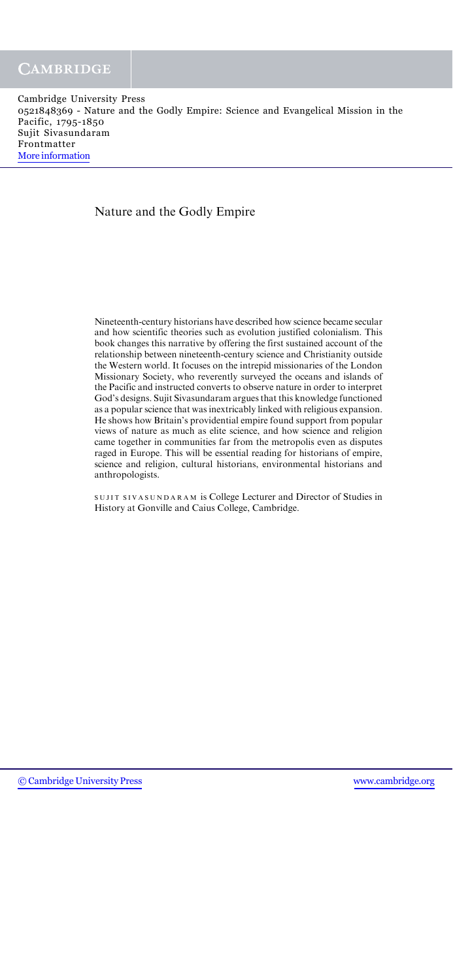### Nature and the Godly Empire

Nineteenth-century historians have described how science became secular and how scientific theories such as evolution justified colonialism. This book changes this narrative by offering the first sustained account of the relationship between nineteenth-century science and Christianity outside the Western world. It focuses on the intrepid missionaries of the London Missionary Society, who reverently surveyed the oceans and islands of the Pacific and instructed converts to observe nature in order to interpret God's designs. Sujit Sivasundaram argues that this knowledge functioned as a popular science that was inextricably linked with religious expansion. He shows how Britain's providential empire found support from popular views of nature as much as elite science, and how science and religion came together in communities far from the metropolis even as disputes raged in Europe. This will be essential reading for historians of empire, science and religion, cultural historians, environmental historians and anthropologists.

SUJIT SIVASUNDARAM is College Lecturer and Director of Studies in History at Gonville and Caius College, Cambridge.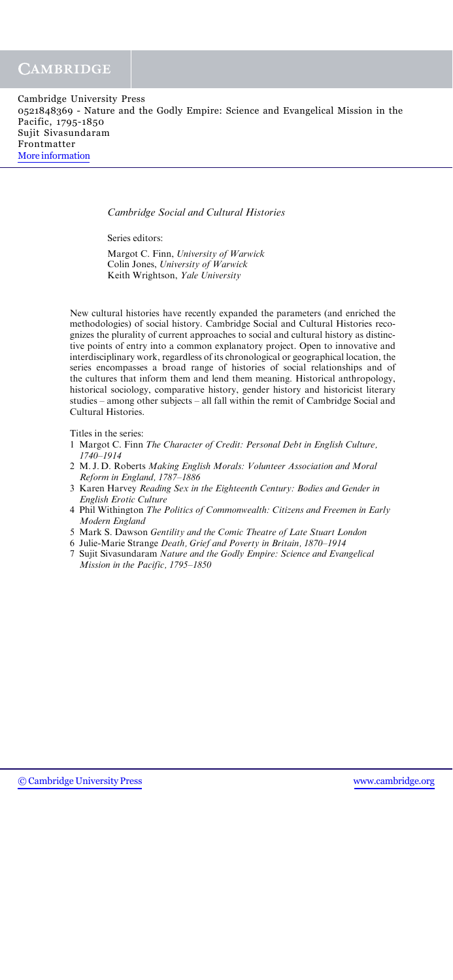| Cambridge University Press                                                       |  |
|----------------------------------------------------------------------------------|--|
| 0521848369 - Nature and the Godly Empire: Science and Evangelical Mission in the |  |
| Pacific, 1795-1850                                                               |  |
| Sujit Sivasundaram                                                               |  |
| Frontmatter                                                                      |  |
| More information                                                                 |  |

Cambridge Social and Cultural Histories

Series editors:

Margot C. Finn, University of Warwick Colin Jones, University of Warwick Keith Wrightson, Yale University

New cultural histories have recently expanded the parameters (and enriched the methodologies) of social history. Cambridge Social and Cultural Histories recognizes the plurality of current approaches to social and cultural history as distinctive points of entry into a common explanatory project. Open to innovative and interdisciplinary work, regardless of its chronological or geographical location, the series encompasses a broad range of histories of social relationships and of the cultures that inform them and lend them meaning. Historical anthropology, historical sociology, comparative history, gender history and historicist literary studies – among other subjects – all fall within the remit of Cambridge Social and Cultural Histories.

Titles in the series:

- 1 Margot C. Finn The Character of Credit: Personal Debt in English Culture, 1740–1914
- 2 M. J. D. Roberts Making English Morals: Volunteer Association and Moral Reform in England, 1787–1886
- 3 Karen Harvey Reading Sex in the Eighteenth Century: Bodies and Gender in English Erotic Culture
- 4 Phil Withington The Politics of Commonwealth: Citizens and Freemen in Early Modern England
- 5 Mark S. Dawson Gentility and the Comic Theatre of Late Stuart London
- 6 Julie-Marie Strange Death, Grief and Poverty in Britain, 1870–1914
- 7 Sujit Sivasundaram Nature and the Godly Empire: Science and Evangelical Mission in the Pacific, 1795–1850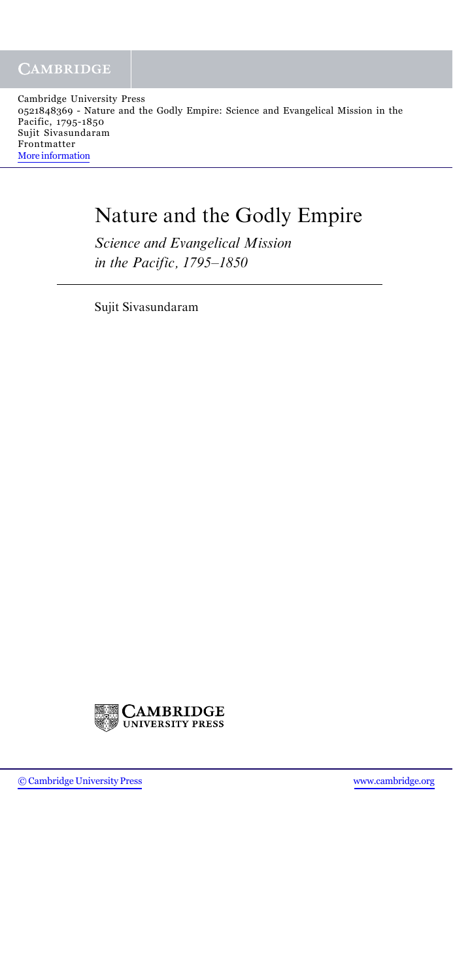# Nature and the Godly Empire

Science and Evangelical Mission in the Pacific, 1795–1850

Sujit Sivasundaram

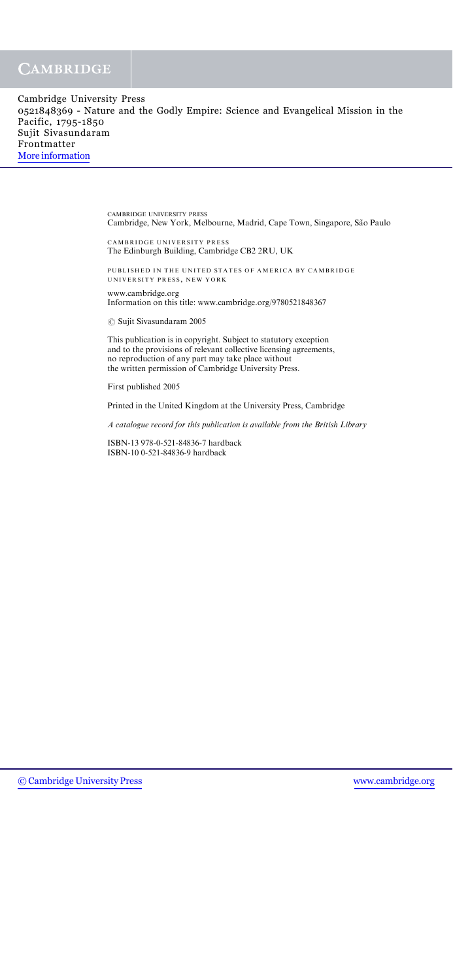## **CAMBRIDGE**

| Cambridge University Press                                                       |  |
|----------------------------------------------------------------------------------|--|
| 0521848369 - Nature and the Godly Empire: Science and Evangelical Mission in the |  |
| Pacific, 1795-1850                                                               |  |
| Sujit Sivasundaram                                                               |  |
| Frontmatter                                                                      |  |
| More information                                                                 |  |

CAMBRIDGE UNIVERSITY PRESS Cambridge, New York, Melbourne, Madrid, Cape Town, Singapore, São Paulo

CAMBRIDGE UNIVERSITY PRESS The Edinburgh Building, Cambridge CB2 2RU, UK

PUBLISHED IN THE UNITED STATES OF AMERICA BY CAMBRIDGE UNIVERSITY PRESS , NEW YORK

www.cambridge.org Information on this title: www.cambridge.org/9780521848367

 $\circ$  Sujit Sivasundaram 2005

This publication is in copyright. Subject to statutory exception and to the provisions of relevant collective licensing agreements, no reproduction of any part may take place without the written permission of Cambridge University Press.

First published 2005

Printed in the United Kingdom at the University Press, Cambridge

A catalogue record for this publication is available from the British Library

ISBN-13 978-0-521-84836-7 hardback ISBN-10 0-521-84836-9 hardback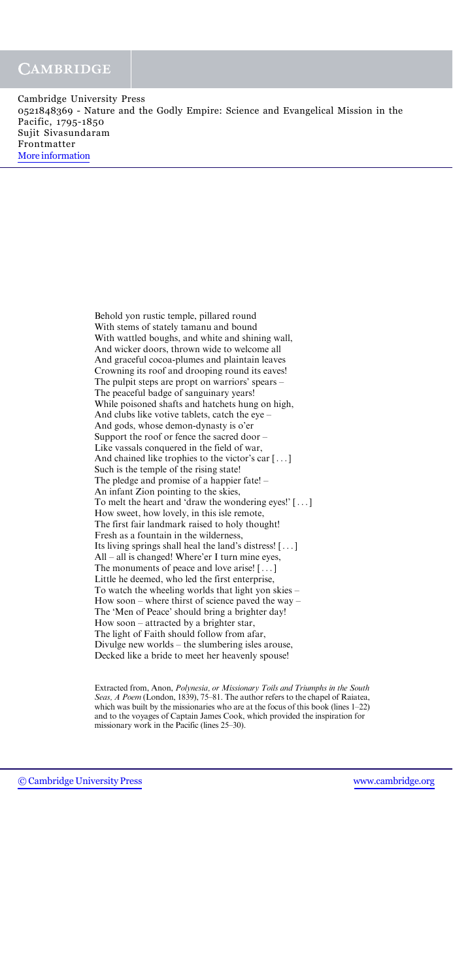#### **CAMBRIDGE**

Cambridge University Press 0521848369 - Nature and the Godly Empire: Science and Evangelical Mission in the Pacific, 1795-1850 Sujit Sivasundaram Frontmatter [More information](http://www.cambridge.org/0521848369)

> Behold yon rustic temple, pillared round With stems of stately tamanu and bound With wattled boughs, and white and shining wall, And wicker doors, thrown wide to welcome all And graceful cocoa-plumes and plaintain leaves Crowning its roof and drooping round its eaves! The pulpit steps are propt on warriors' spears – The peaceful badge of sanguinary years! While poisoned shafts and hatchets hung on high, And clubs like votive tablets, catch the eye – And gods, whose demon-dynasty is o'er Support the roof or fence the sacred door – Like vassals conquered in the field of war, And chained like trophies to the victor's car [...] Such is the temple of the rising state! The pledge and promise of a happier fate! – An infant Zion pointing to the skies, To melt the heart and 'draw the wondering eyes!' [ ... ] How sweet, how lovely, in this isle remote, The first fair landmark raised to holy thought! Fresh as a fountain in the wilderness, Its living springs shall heal the land's distress! [ ... ] All – all is changed! Where'er I turn mine eyes, The monuments of peace and love arise! [ ... ] Little he deemed, who led the first enterprise, To watch the wheeling worlds that light yon skies – How soon – where thirst of science paved the way – The 'Men of Peace' should bring a brighter day! How soon – attracted by a brighter star, The light of Faith should follow from afar, Divulge new worlds – the slumbering isles arouse, Decked like a bride to meet her heavenly spouse!

Extracted from, Anon, Polynesia, or Missionary Toils and Triumphs in the South Seas, A Poem (London, 1839), 75–81. The author refers to the chapel of Raiatea, which was built by the missionaries who are at the focus of this book (lines 1–22) and to the voyages of Captain James Cook, which provided the inspiration for missionary work in the Pacific (lines 25–30).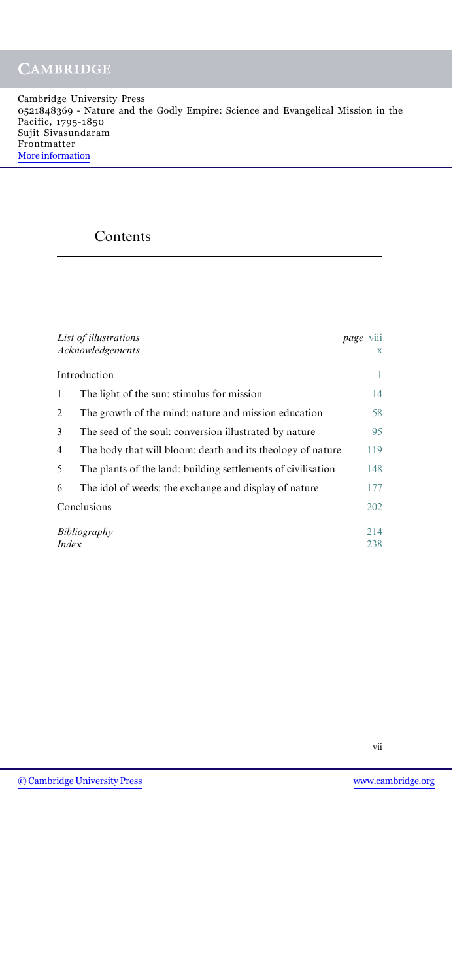## Contents

|              | List of illustrations<br>Acknowledgements                    | page | <b>V111</b><br>$\mathbf{X}$ |
|--------------|--------------------------------------------------------------|------|-----------------------------|
|              | Introduction                                                 |      | 1                           |
| 1            | The light of the sun: stimulus for mission                   |      | 14                          |
| 2            | The growth of the mind: nature and mission education         |      | 58                          |
| 3            | The seed of the soul: conversion illustrated by nature       |      | 95                          |
| 4            | The body that will bloom: death and its theology of nature   |      | 119                         |
| 5            | The plants of the land: building settlements of civilisation |      | 148                         |
| 6            | The idol of weeds: the exchange and display of nature        |      | 177                         |
|              | Conclusions                                                  |      | 202                         |
| <i>Index</i> | Bibliography                                                 |      | 214<br>238                  |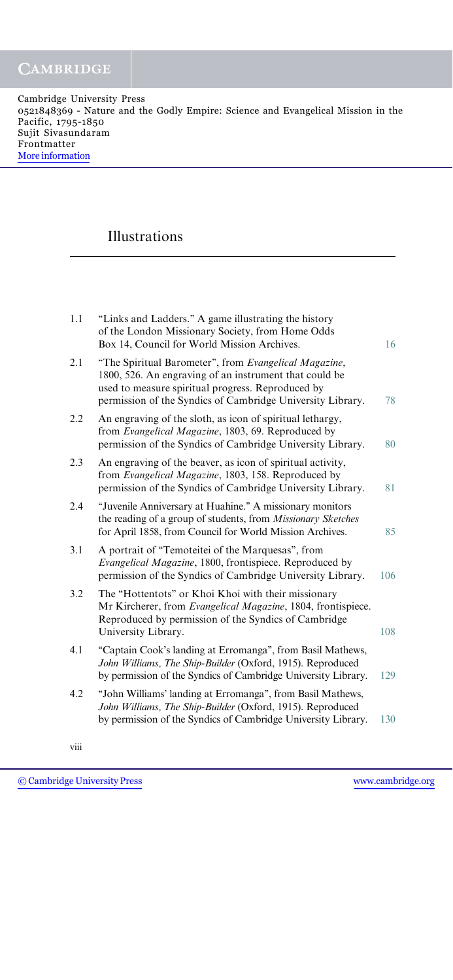## Illustrations

| 1.1 | "Links and Ladders." A game illustrating the history<br>of the London Missionary Society, from Home Odds<br>Box 14, Council for World Mission Archives.                                                                            | 16  |
|-----|------------------------------------------------------------------------------------------------------------------------------------------------------------------------------------------------------------------------------------|-----|
| 2.1 | "The Spiritual Barometer", from Evangelical Magazine,<br>1800, 526. An engraving of an instrument that could be<br>used to measure spiritual progress. Reproduced by<br>permission of the Syndics of Cambridge University Library. | 78  |
| 2.2 | An engraving of the sloth, as icon of spiritual lethargy,<br>from Evangelical Magazine, 1803, 69. Reproduced by<br>permission of the Syndics of Cambridge University Library.                                                      | 80  |
| 2.3 | An engraving of the beaver, as icon of spiritual activity,<br>from Evangelical Magazine, 1803, 158. Reproduced by<br>permission of the Syndics of Cambridge University Library.                                                    | 81  |
| 2.4 | "Juvenile Anniversary at Huahine." A missionary monitors<br>the reading of a group of students, from Missionary Sketches<br>for April 1858, from Council for World Mission Archives.                                               | 85  |
| 3.1 | A portrait of "Temoteitei of the Marquesas", from<br>Evangelical Magazine, 1800, frontispiece. Reproduced by<br>permission of the Syndics of Cambridge University Library.                                                         | 106 |
| 3.2 | The "Hottentots" or Khoi Khoi with their missionary<br>Mr Kircherer, from Evangelical Magazine, 1804, frontispiece.<br>Reproduced by permission of the Syndics of Cambridge<br>University Library.                                 | 108 |
| 4.1 | "Captain Cook's landing at Erromanga", from Basil Mathews,<br>John Williams, The Ship-Builder (Oxford, 1915). Reproduced<br>by permission of the Syndics of Cambridge University Library.                                          | 129 |
| 4.2 | "John Williams' landing at Erromanga", from Basil Mathews,<br>John Williams, The Ship-Builder (Oxford, 1915). Reproduced<br>by permission of the Syndics of Cambridge University Library.                                          | 130 |

viii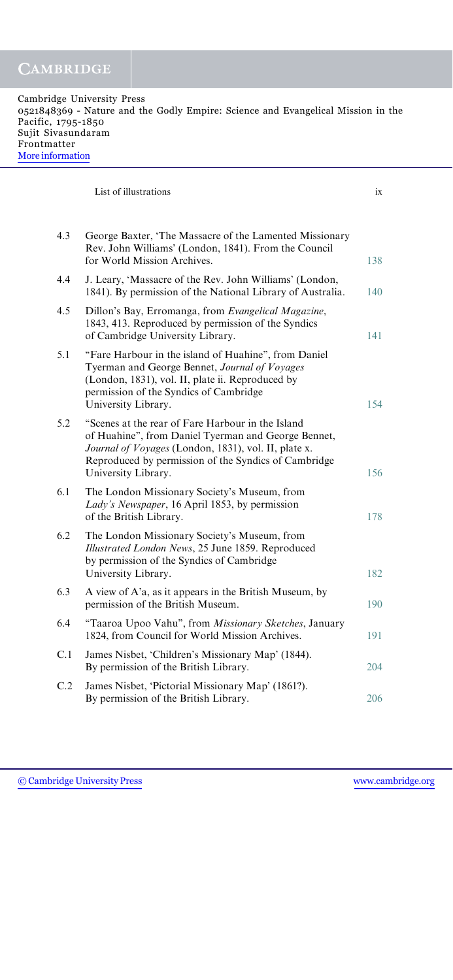| Cambridge University Press                                                       |  |  |
|----------------------------------------------------------------------------------|--|--|
| 0521848369 - Nature and the Godly Empire: Science and Evangelical Mission in the |  |  |
| Pacific, 1795-1850                                                               |  |  |
| Sujit Sivasundaram                                                               |  |  |
| Frontmatter                                                                      |  |  |
| More information                                                                 |  |  |
|                                                                                  |  |  |

| List of illustrations |  |
|-----------------------|--|
|-----------------------|--|

| 4.3 | George Baxter, 'The Massacre of the Lamented Missionary<br>Rev. John Williams' (London, 1841). From the Council<br>for World Mission Archives.                                                                                                  | 138 |
|-----|-------------------------------------------------------------------------------------------------------------------------------------------------------------------------------------------------------------------------------------------------|-----|
| 4.4 | J. Leary, 'Massacre of the Rev. John Williams' (London,<br>1841). By permission of the National Library of Australia.                                                                                                                           | 140 |
| 4.5 | Dillon's Bay, Erromanga, from Evangelical Magazine,<br>1843, 413. Reproduced by permission of the Syndics<br>of Cambridge University Library.                                                                                                   | 141 |
| 5.1 | "Fare Harbour in the island of Huahine", from Daniel<br>Tyerman and George Bennet, Journal of Voyages<br>(London, 1831), vol. II, plate ii. Reproduced by<br>permission of the Syndics of Cambridge<br>University Library.                      | 154 |
| 5.2 | "Scenes at the rear of Fare Harbour in the Island<br>of Huahine", from Daniel Tyerman and George Bennet,<br>Journal of Voyages (London, 1831), vol. II, plate x.<br>Reproduced by permission of the Syndics of Cambridge<br>University Library. | 156 |
| 6.1 | The London Missionary Society's Museum, from<br>Lady's Newspaper, 16 April 1853, by permission<br>of the British Library.                                                                                                                       | 178 |
| 6.2 | The London Missionary Society's Museum, from<br>Illustrated London News, 25 June 1859. Reproduced<br>by permission of the Syndics of Cambridge<br>University Library.                                                                           | 182 |
| 6.3 | A view of A'a, as it appears in the British Museum, by<br>permission of the British Museum.                                                                                                                                                     | 190 |
| 6.4 | "Taaroa Upoo Vahu", from Missionary Sketches, January<br>1824, from Council for World Mission Archives.                                                                                                                                         | 191 |
| C.1 | James Nisbet, 'Children's Missionary Map' (1844).<br>By permission of the British Library.                                                                                                                                                      | 204 |
| C.2 | James Nisbet, 'Pictorial Missionary Map' (1861?).<br>By permission of the British Library.                                                                                                                                                      | 206 |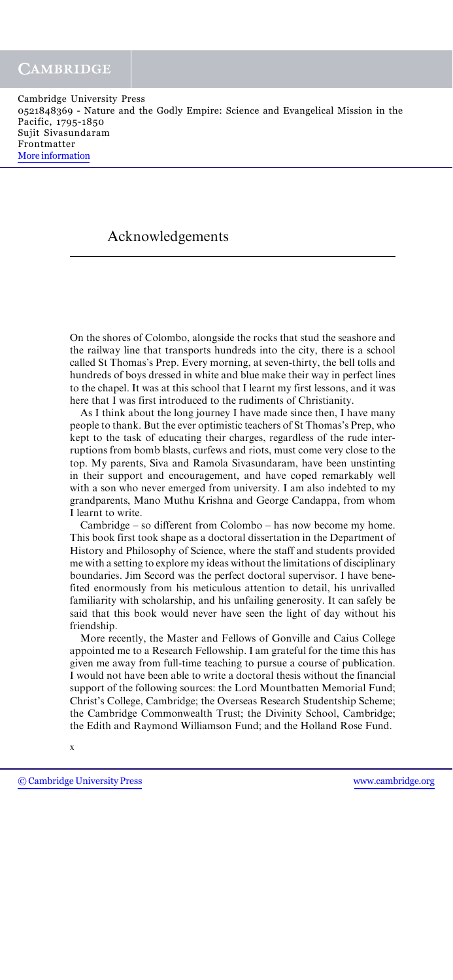## Acknowledgements

On the shores of Colombo, alongside the rocks that stud the seashore and the railway line that transports hundreds into the city, there is a school called St Thomas's Prep. Every morning, at seven-thirty, the bell tolls and hundreds of boys dressed in white and blue make their way in perfect lines to the chapel. It was at this school that I learnt my first lessons, and it was here that I was first introduced to the rudiments of Christianity.

As I think about the long journey I have made since then, I have many people to thank. But the ever optimistic teachers of St Thomas's Prep, who kept to the task of educating their charges, regardless of the rude interruptions from bomb blasts, curfews and riots, must come very close to the top. My parents, Siva and Ramola Sivasundaram, have been unstinting in their support and encouragement, and have coped remarkably well with a son who never emerged from university. I am also indebted to my grandparents, Mano Muthu Krishna and George Candappa, from whom I learnt to write.

Cambridge – so different from Colombo – has now become my home. This book first took shape as a doctoral dissertation in the Department of History and Philosophy of Science, where the staff and students provided me with a setting to explore my ideas without the limitations of disciplinary boundaries. Jim Secord was the perfect doctoral supervisor. I have benefited enormously from his meticulous attention to detail, his unrivalled familiarity with scholarship, and his unfailing generosity. It can safely be said that this book would never have seen the light of day without his friendship.

More recently, the Master and Fellows of Gonville and Caius College appointed me to a Research Fellowship. I am grateful for the time this has given me away from full-time teaching to pursue a course of publication. I would not have been able to write a doctoral thesis without the financial support of the following sources: the Lord Mountbatten Memorial Fund; Christ's College, Cambridge; the Overseas Research Studentship Scheme; the Cambridge Commonwealth Trust; the Divinity School, Cambridge; the Edith and Raymond Williamson Fund; and the Holland Rose Fund.